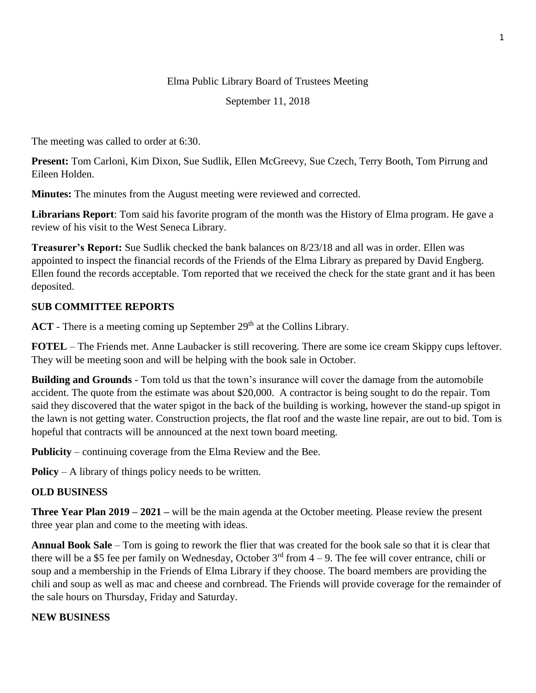## Elma Public Library Board of Trustees Meeting

September 11, 2018

The meeting was called to order at 6:30.

**Present:** Tom Carloni, Kim Dixon, Sue Sudlik, Ellen McGreevy, Sue Czech, Terry Booth, Tom Pirrung and Eileen Holden.

**Minutes:** The minutes from the August meeting were reviewed and corrected.

**Librarians Report**: Tom said his favorite program of the month was the History of Elma program. He gave a review of his visit to the West Seneca Library.

**Treasurer's Report:** Sue Sudlik checked the bank balances on 8/23/18 and all was in order. Ellen was appointed to inspect the financial records of the Friends of the Elma Library as prepared by David Engberg. Ellen found the records acceptable. Tom reported that we received the check for the state grant and it has been deposited.

## **SUB COMMITTEE REPORTS**

**ACT** - There is a meeting coming up September 29<sup>th</sup> at the Collins Library.

**FOTEL** – The Friends met. Anne Laubacker is still recovering. There are some ice cream Skippy cups leftover. They will be meeting soon and will be helping with the book sale in October.

**Building and Grounds** - Tom told us that the town's insurance will cover the damage from the automobile accident. The quote from the estimate was about \$20,000. A contractor is being sought to do the repair. Tom said they discovered that the water spigot in the back of the building is working, however the stand-up spigot in the lawn is not getting water. Construction projects, the flat roof and the waste line repair, are out to bid. Tom is hopeful that contracts will be announced at the next town board meeting.

**Publicity** – continuing coverage from the Elma Review and the Bee.

**Policy** – A library of things policy needs to be written.

## **OLD BUSINESS**

**Three Year Plan 2019 – 2021 –** will be the main agenda at the October meeting. Please review the present three year plan and come to the meeting with ideas.

**Annual Book Sale** – Tom is going to rework the flier that was created for the book sale so that it is clear that there will be a \$5 fee per family on Wednesday, October  $3<sup>rd</sup>$  from  $4-9$ . The fee will cover entrance, chili or soup and a membership in the Friends of Elma Library if they choose. The board members are providing the chili and soup as well as mac and cheese and cornbread. The Friends will provide coverage for the remainder of the sale hours on Thursday, Friday and Saturday.

## **NEW BUSINESS**